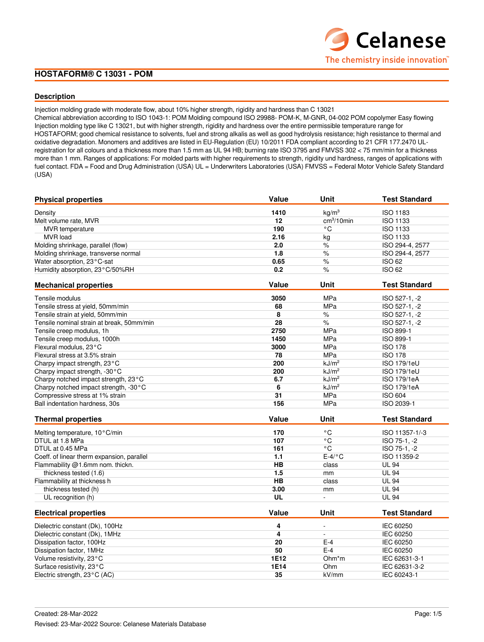# **HOSTAFORM® C 13031 - POM**

# **Description**

Injection molding grade with moderate flow, about 10% higher strength, rigidity and hardness than C 13021 Chemical abbreviation according to ISO 1043-1: POM Molding compound ISO 29988- POM-K, M-GNR, 04-002 POM copolymer Easy flowing Injection molding type like C 13021, but with higher strength, rigidity and hardness over the entire permissible temperature range for HOSTAFORM; good chemical resistance to solvents, fuel and strong alkalis as well as good hydrolysis resistance; high resistance to thermal and oxidative degradation. Monomers and additives are listed in EU-Regulation (EU) 10/2011 FDA compliant according to 21 CFR 177.2470 ULregistration for all colours and a thickness more than 1.5 mm as UL 94 HB; burning rate ISO 3795 and FMVSS 302 < 75 mm/min for a thickness more than 1 mm. Ranges of applications: For molded parts with higher requirements to strength, rigidity und hardness, ranges of applications with fuel contact. FDA = Food and Drug Administration (USA) UL = Underwriters Laboratories (USA) FMVSS = Federal Motor Vehicle Safety Standard (USA)

| <b>Physical properties</b>                 | Value     | Unit                        | <b>Test Standard</b> |  |
|--------------------------------------------|-----------|-----------------------------|----------------------|--|
| Density                                    | 1410      | kg/m <sup>3</sup>           | <b>ISO 1183</b>      |  |
| Melt volume rate, MVR                      | 12        | $cm3/10$ min                | <b>ISO 1133</b>      |  |
| <b>MVR</b> temperature                     | 190       | ۰c                          | <b>ISO 1133</b>      |  |
| <b>MVR</b> load                            | 2.16      | kg                          |                      |  |
| Molding shrinkage, parallel (flow)         | 2.0       | %                           | ISO 294-4, 2577      |  |
| Molding shrinkage, transverse normal       | 1.8       | $\%$                        | ISO 294-4, 2577      |  |
| Water absorption, 23°C-sat                 | 0.65      | $\%$                        | <b>ISO 62</b>        |  |
| Humidity absorption, 23°C/50%RH            | 0.2       | $\%$                        | <b>ISO 62</b>        |  |
| <b>Mechanical properties</b>               | Value     | Unit                        | <b>Test Standard</b> |  |
| Tensile modulus                            | 3050      | <b>MPa</b>                  | ISO 527-1, -2        |  |
| Tensile stress at yield, 50mm/min          | 68        | <b>MPa</b>                  | ISO 527-1, -2        |  |
| Tensile strain at yield, 50mm/min          | 8         | $\%$                        | ISO 527-1, -2        |  |
| Tensile nominal strain at break, 50mm/min  | 28        | $\%$                        | ISO 527-1, -2        |  |
| Tensile creep modulus, 1h                  | 2750      | MPa                         | ISO 899-1            |  |
| Tensile creep modulus, 1000h               | 1450      | <b>MPa</b>                  | ISO 899-1            |  |
| Flexural modulus, 23°C                     | 3000      | MPa                         | <b>ISO 178</b>       |  |
| Flexural stress at 3.5% strain             | 78        | <b>MPa</b>                  | <b>ISO 178</b>       |  |
| Charpy impact strength, 23°C               | 200       | kJ/m <sup>2</sup>           | <b>ISO 179/1eU</b>   |  |
| Charpy impact strength, -30°C              | 200       | kJ/m <sup>2</sup>           | <b>ISO 179/1eU</b>   |  |
| Charpy notched impact strength, 23°C       | 6.7       | kJ/m <sup>2</sup>           | ISO 179/1eA          |  |
| Charpy notched impact strength, -30°C      | 6         | kJ/m <sup>2</sup>           | ISO 179/1eA          |  |
| Compressive stress at 1% strain            | 31        | <b>MPa</b>                  | <b>ISO 604</b>       |  |
| Ball indentation hardness, 30s             | 156       | MPa                         | ISO 2039-1           |  |
| <b>Thermal properties</b>                  | Value     | Unit                        | <b>Test Standard</b> |  |
| Melting temperature, 10°C/min              | 170       | $^{\circ}{\rm C}$           | ISO 11357-1/-3       |  |
| DTUL at 1.8 MPa                            | 107       | $^{\circ}$ C                | ISO 75-1, -2         |  |
| DTUL at 0.45 MPa                           | 161       | $^{\circ}$ C                | ISO 75-1, -2         |  |
| Coeff. of linear therm expansion, parallel | 1.1       | $E-4$ /°C                   | ISO 11359-2          |  |
| Flammability @1.6mm nom. thickn.           | <b>HB</b> | class                       | <b>UL 94</b>         |  |
| thickness tested (1.6)                     | 1.5       | mm                          | <b>UL 94</b>         |  |
| Flammability at thickness h                | <b>HB</b> | class                       | <b>UL 94</b>         |  |
| thickness tested (h)                       | 3.00      | mm                          | <b>UL 94</b>         |  |
| UL recognition (h)                         | <b>UL</b> | $\mathbf{r}$                | <b>UL 94</b>         |  |
| <b>Electrical properties</b>               | Value     | Unit                        | <b>Test Standard</b> |  |
| Dielectric constant (Dk), 100Hz            | 4         | $\overline{\phantom{a}}$    | IEC 60250            |  |
| Dielectric constant (Dk), 1MHz             | 4         | IEC 60250<br>$\blacksquare$ |                      |  |
| Dissipation factor, 100Hz                  | 20        | $E-4$<br>IEC 60250          |                      |  |
| Dissipation factor, 1MHz                   | 50        | $E-4$                       | IEC 60250            |  |
| Volume resistivity, 23°C                   | 1E12      | $Ohm*m$                     | IEC 62631-3-1        |  |
| Surface resistivity, 23°C                  | 1E14      | Ohm                         | IEC 62631-3-2        |  |
| Electric strength, 23°C (AC)               | 35        | kV/mm                       | IEC 60243-1          |  |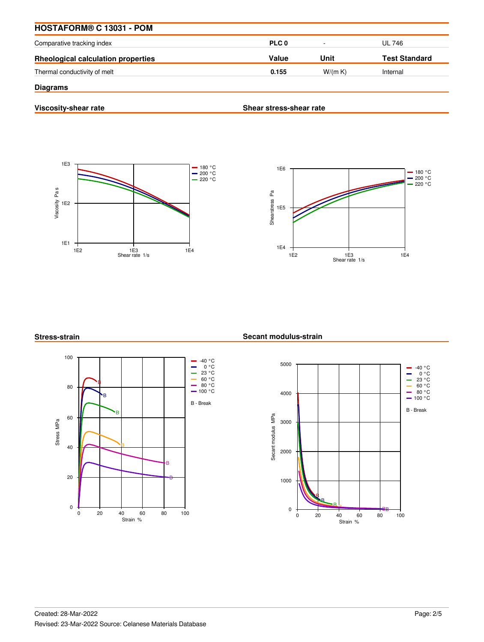| HOSTAFORM® C 13031 - POM                  |       |                          |                      |
|-------------------------------------------|-------|--------------------------|----------------------|
| Comparative tracking index                | PLC 0 | $\overline{\phantom{a}}$ | <b>UL 746</b>        |
| <b>Rheological calculation properties</b> | Value | Unit                     | <b>Test Standard</b> |
| Thermal conductivity of melt              | 0.155 | W/(m K)                  | Internal             |
| <b>Diagrams</b>                           |       |                          |                      |

**Viscosity-shear rate**

**Shear stress-shear rate**





# **Stress-strain**



**Secant modulus-strain**

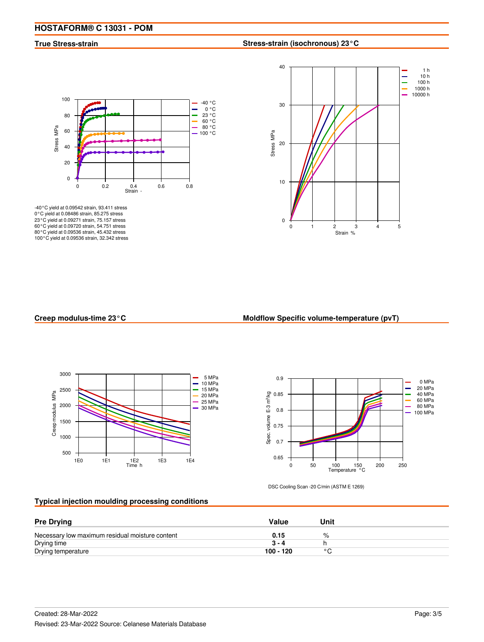# **True Stress-strain**

# **Stress-strain (isochronous) 23°C**



-40°C yield at 0.09542 strain, 93.411 stress 0°C yield at 0.08486 strain, 85.275 stress 23°C yield at 0.09271 strain, 75.157 stress 60°C yield at 0.09720 strain, 54.751 stress 80°C yield at 0.09536 strain, 45.432 stress 100°C yield at 0.09536 strain, 32.342 stress



#### **Creep modulus-time 23°C**

## **Moldflow Specific volume-temperature (pvT)**





DSC Cooling Scan -20 C/min (ASTM E 1269)

### **Typical injection moulding processing conditions**

| <b>Pre Drying</b>                               | Value       | Unit           |  |
|-------------------------------------------------|-------------|----------------|--|
| Necessary low maximum residual moisture content | 0.15        | %              |  |
| Drying time                                     | $3 - 4$     |                |  |
| Drying temperature                              | $100 - 120$ | $\circ$ $\cap$ |  |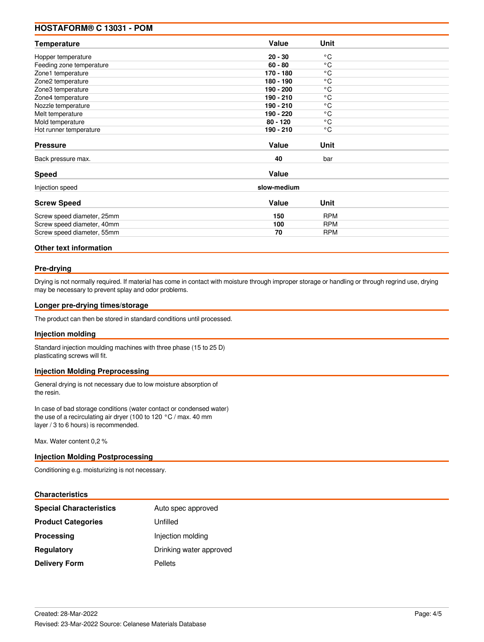# **HOSTAFORM® C 13031 - POM**

| Temperature                | Value       | Unit         |  |
|----------------------------|-------------|--------------|--|
| Hopper temperature         | $20 - 30$   | °C           |  |
| Feeding zone temperature   | $60 - 80$   | $^{\circ}$ C |  |
| Zone1 temperature          | 170 - 180   | °C           |  |
| Zone2 temperature          | 180 - 190   | °C           |  |
| Zone3 temperature          | 190 - 200   | °C           |  |
| Zone4 temperature          | 190 - 210   | °C           |  |
| Nozzle temperature         | 190 - 210   | °C           |  |
| Melt temperature           | 190 - 220   | ۰c           |  |
| Mold temperature           | $80 - 120$  | ۰c           |  |
| Hot runner temperature     | 190 - 210   | °C           |  |
| <b>Pressure</b>            | Value       | <b>Unit</b>  |  |
| Back pressure max.         | 40          | bar          |  |
| <b>Speed</b>               | Value       |              |  |
| Injection speed            | slow-medium |              |  |
| <b>Screw Speed</b>         | Value       | Unit         |  |
| Screw speed diameter, 25mm | 150         | <b>RPM</b>   |  |
| Screw speed diameter, 40mm | 100         | <b>RPM</b>   |  |
| Screw speed diameter, 55mm | 70          | <b>RPM</b>   |  |

# **Other text information**

#### **Pre-drying**

Drying is not normally required. If material has come in contact with moisture through improper storage or handling or through regrind use, drying may be necessary to prevent splay and odor problems.

#### **Longer pre-drying times/storage**

The product can then be stored in standard conditions until processed.

#### **Injection molding**

Standard injection moulding machines with three phase (15 to 25 D) plasticating screws will fit.

# **Injection Molding Preprocessing**

General drying is not necessary due to low moisture absorption of the resin.

In case of bad storage conditions (water contact or condensed water) the use of a recirculating air dryer (100 to 120 °C / max. 40 mm layer / 3 to 6 hours) is recommended.

Max. Water content 0,2 %

#### **Injection Molding Postprocessing**

Conditioning e.g. moisturizing is not necessary.

#### **Characteristics**

| <b>Special Characteristics</b> | Auto spec approved      |
|--------------------------------|-------------------------|
| <b>Product Categories</b>      | Unfilled                |
| <b>Processing</b>              | Injection molding       |
| <b>Regulatory</b>              | Drinking water approved |
| <b>Delivery Form</b>           | <b>Pellets</b>          |